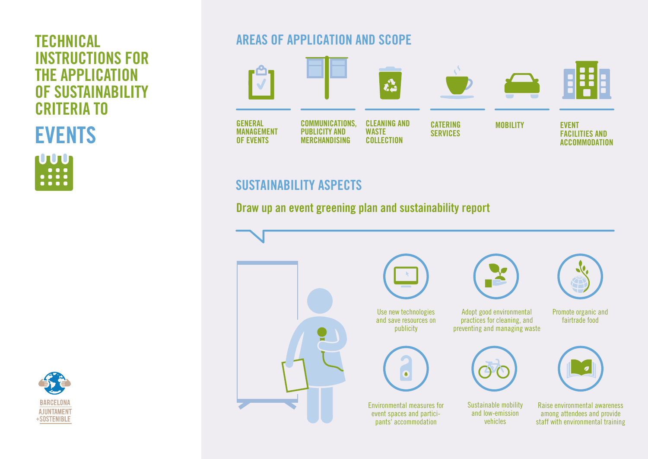# INSTRUCTIONS FOR THE APPLICATION OF SUSTAINABILITY CRITERIA TO

EVENTS

**LUUD**  $\blacksquare$  $\begin{array}{ccccc}\n\bullet & \bullet & \bullet & \bullet & \bullet & \bullet\n\end{array}$ ....

## **BARCELONA AJUNTAMENT** +SOSTENIBLE

### **TECHNICAL AREAS OF APPLICATION AND SCOPE**



### SUSTAINABILITY ASPECTS

### Draw up an event greening plan and sustainability report

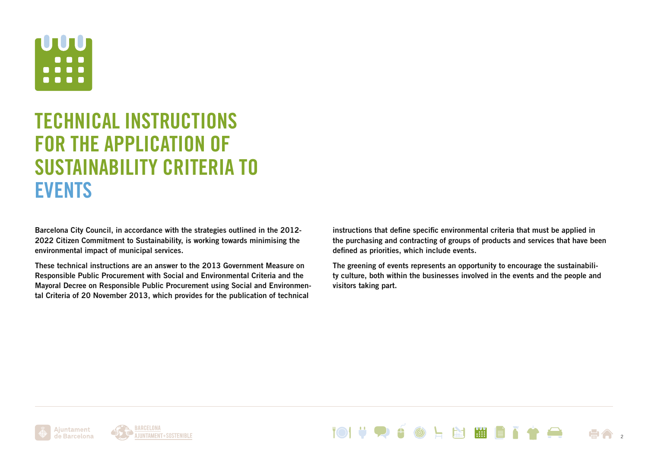

## TECHNICAL INSTRUCTIONS FOR THE APPLICATION OF SUSTAINABILITY CRITERIA TO EVENTS

Barcelona City Council, in accordance with the strategies outlined in the 2012- 2022 Citizen Commitment to Sustainability, is working towards minimising the environmental impact of municipal services.

These technical instructions are an answer to the 2013 Government Measure on Responsible Public Procurement with Social and Environmental Criteria and the Mayoral Decree on Responsible Public Procurement using Social and Environmental Criteria of 20 November 2013, which provides for the publication of technical

instructions that define specific environmental criteria that must be applied in the purchasing and contracting of groups of products and services that have been defined as priorities, which include events.

The greening of events represents an opportunity to encourage the sustainability culture, both within the businesses involved in the events and the people and visitors taking part.

**THE** 

2



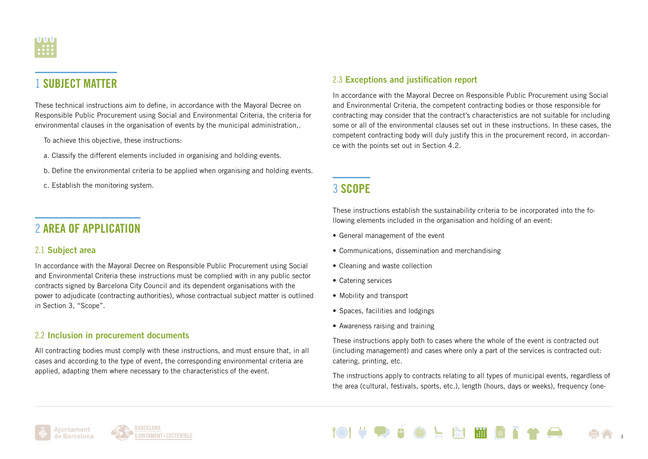

### 1 SUBJECT MATTER

These technical instructions aim to define, in accordance with the Mayoral Decree on Responsible Public Procurement using Social and Environmental Criteria, the criteria for environmental clauses in the organisation of events by the municipal administration,.

To achieve this objective, these instructions:

- a. Classify the different elements included in organising and holding events.
- b. Define the environmental criteria to be applied when organising and holding events.
- c. Establish the monitoring system.

### 2 AREA OF APPLICATION

#### 2.1 Subject area

In accordance with the Mayoral Decree on Responsible Public Procurement using Social and Environmental Criteria these instructions must be complied with in any public sector contracts signed by Barcelona City Council and its dependent organisations with the power to adjudicate (contracting authorities), whose contractual subject matter is outlined in Section 3, "Scope".

#### 2.2 Inclusion in procurement documents

All contracting bodies must comply with these instructions, and must ensure that, in all cases and according to the type of event, the corresponding environmental criteria are applied, adapting them where necessary to the characteristics of the event.

#### 2.3 Exceptions and justification report

In accordance with the Mayoral Decree on Responsible Public Procurement using Social and Environmental Criteria, the competent contracting bodies or those responsible for contracting may consider that the contract's characteristics are not suitable for including some or all of the environmental clauses set out in these instructions. In these cases, the competent contracting body will duly justify this in the procurement record, in accordance with the points set out in Section 4.2.

### 3 SCOPE

These instructions establish the sustainability criteria to be incorporated into the following elements included in the organisation and holding of an event:

- General management of the event
- Communications, dissemination and merchandising
- Cleaning and waste collection
- Catering services
- Mobility and transport
- Spaces, facilities and lodgings
- Awareness raising and training

These instructions apply both to cases where the whole of the event is contracted out (including management) and cases where only a part of the services is contracted out: catering, printing, etc.

The instructions apply to contracts relating to all types of municipal events, regardless of the area (cultural, festivals, sports, etc.), length (hours, days or weeks), frequency (one-





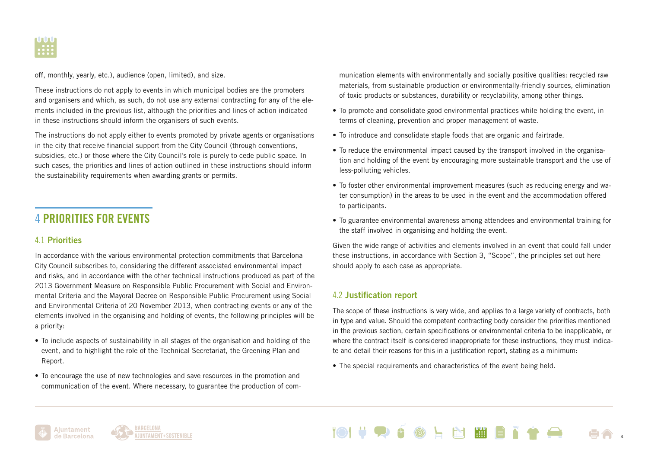

off, monthly, yearly, etc.), audience (open, limited), and size.

These instructions do not apply to events in which municipal bodies are the promoters and organisers and which, as such, do not use any external contracting for any of the elements included in the previous list, although the priorities and lines of action indicated in these instructions should inform the organisers of such events.

The instructions do not apply either to events promoted by private agents or organisations in the city that receive financial support from the City Council (through conventions, subsidies, etc.) or those where the City Council's role is purely to cede public space. In such cases, the priorities and lines of action outlined in these instructions should inform the sustainability requirements when awarding grants or permits.

### 4 PRIORITIES FOR EVENTS

#### 4.1 Priorities

In accordance with the various environmental protection commitments that Barcelona City Council subscribes to, considering the different associated environmental impact and risks, and in accordance with the other technical instructions produced as part of the 2013 Government Measure on Responsible Public Procurement with Social and Environmental Criteria and the Mayoral Decree on Responsible Public Procurement using Social and Environmental Criteria of 20 November 2013, when contracting events or any of the elements involved in the organising and holding of events, the following principles will be a priority:

- To include aspects of sustainability in all stages of the organisation and holding of the event, and to highlight the role of the Technical Secretariat, the Greening Plan and Report.
- To encourage the use of new technologies and save resources in the promotion and communication of the event. Where necessary, to guarantee the production of com-

munication elements with environmentally and socially positive qualities: recycled raw materials, from sustainable production or environmentally-friendly sources, elimination of toxic products or substances, durability or recyclability, among other things.

- To promote and consolidate good environmental practices while holding the event, in terms of cleaning, prevention and proper management of waste.
- To introduce and consolidate staple foods that are organic and fairtrade.
- To reduce the environmental impact caused by the transport involved in the organisation and holding of the event by encouraging more sustainable transport and the use of less-polluting vehicles.
- To foster other environmental improvement measures (such as reducing energy and water consumption) in the areas to be used in the event and the accommodation offered to participants.
- To guarantee environmental awareness among attendees and environmental training for the staff involved in organising and holding the event.

Given the wide range of activities and elements involved in an event that could fall under these instructions, in accordance with Section 3, "Scope", the principles set out here should apply to each case as appropriate.

#### 4.2 Justification report

The scope of these instructions is very wide, and applies to a large variety of contracts, both in type and value. Should the competent contracting body consider the priorities mentioned in the previous section, certain specifications or environmental criteria to be inapplicable, or where the contract itself is considered inappropriate for these instructions, they must indicate and detail their reasons for this in a justification report, stating as a minimum:

• The special requirements and characteristics of the event being held.





LNWEN 4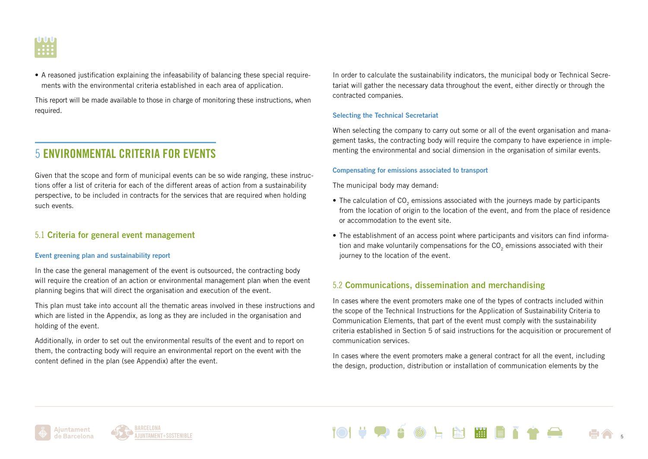

• A reasoned justification explaining the infeasability of balancing these special requirements with the environmental criteria established in each area of application.

This report will be made available to those in charge of monitoring these instructions, when required.

### 5 ENVIRONMENTAL CRITERIA FOR EVENTS

Given that the scope and form of municipal events can be so wide ranging, these instructions offer a list of criteria for each of the different areas of action from a sustainability perspective, to be included in contracts for the services that are required when holding such events.

#### 5.1 Criteria for general event management

#### Event greening plan and sustainability report

In the case the general management of the event is outsourced, the contracting body will require the creation of an action or environmental management plan when the event planning begins that will direct the organisation and execution of the event.

This plan must take into account all the thematic areas involved in these instructions and which are listed in the Appendix, as long as they are included in the organisation and holding of the event.

Additionally, in order to set out the environmental results of the event and to report on them, the contracting body will require an environmental report on the event with the content defined in the plan (see Appendix) after the event.

In order to calculate the sustainability indicators, the municipal body or Technical Secretariat will gather the necessary data throughout the event, either directly or through the contracted companies.

#### Selecting the Technical Secretariat

When selecting the company to carry out some or all of the event organisation and management tasks, the contracting body will require the company to have experience in implementing the environmental and social dimension in the organisation of similar events.

#### Compensating for emissions associated to transport

The municipal body may demand:

- $\bullet$  The calculation of CO<sub>2</sub> emissions associated with the journeys made by participants from the location of origin to the location of the event, and from the place of residence or accommodation to the event site.
- The establishment of an access point where participants and visitors can find information and make voluntarily compensations for the CO<sub>2</sub> emissions associated with their journey to the location of the event.

#### 5.2 Communications, dissemination and merchandising

In cases where the event promoters make one of the types of contracts included within the scope of the Technical Instructions for the Application of Sustainability Criteria to Communication Elements, that part of the event must comply with the sustainability criteria established in Section 5 of said instructions for the acquisition or procurement of communication services.

In cases where the event promoters make a general contract for all the event, including the design, production, distribution or installation of communication elements by the

图画自己

5



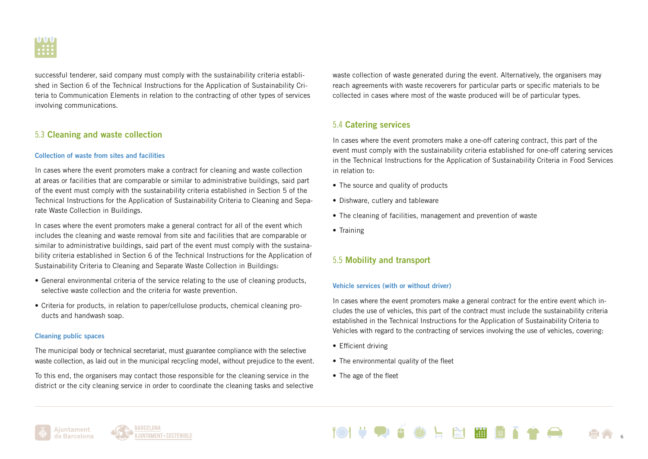

successful tenderer, said company must comply with the sustainability criteria established in Section 6 of the Technical Instructions for the Application of Sustainability Criteria to Communication Elements in relation to the contracting of other types of services involving communications.

#### 5.3 Cleaning and waste collection

#### Collection of waste from sites and facilities

In cases where the event promoters make a contract for cleaning and waste collection at areas or facilities that are comparable or similar to administrative buildings, said part of the event must comply with the sustainability criteria established in Section 5 of the Technical Instructions for the Application of Sustainability Criteria to Cleaning and Separate Waste Collection in Buildings.

In cases where the event promoters make a general contract for all of the event which includes the cleaning and waste removal from site and facilities that are comparable or similar to administrative buildings, said part of the event must comply with the sustainability criteria established in Section 6 of the Technical Instructions for the Application of Sustainability Criteria to Cleaning and Separate Waste Collection in Buildings:

- General environmental criteria of the service relating to the use of cleaning products, selective waste collection and the criteria for waste prevention.
- Criteria for products, in relation to paper/cellulose products, chemical cleaning products and handwash soap.

#### Cleaning public spaces

The municipal body or technical secretariat, must guarantee compliance with the selective waste collection, as laid out in the municipal recycling model, without prejudice to the event.

To this end, the organisers may contact those responsible for the cleaning service in the district or the city cleaning service in order to coordinate the cleaning tasks and selective waste collection of waste generated during the event. Alternatively, the organisers may reach agreements with waste recoverers for particular parts or specific materials to be collected in cases where most of the waste produced will be of particular types.

### 5.4 Catering services

In cases where the event promoters make a one-off catering contract, this part of the event must comply with the sustainability criteria established for one-off catering services in the Technical Instructions for the Application of Sustainability Criteria in Food Services in relation to:

- The source and quality of products
- Dishware, cutlery and tableware
- The cleaning of facilities, management and prevention of waste
- Training

#### 5.5 Mobility and transport

#### Vehicle services (with or without driver)

In cases where the event promoters make a general contract for the entire event which includes the use of vehicles, this part of the contract must include the sustainability criteria established in the Technical Instructions for the Application of Sustainability Criteria to Vehicles with regard to the contracting of services involving the use of vehicles, covering:

- Efficient driving
- The environmental quality of the fleet
- The age of the fleet





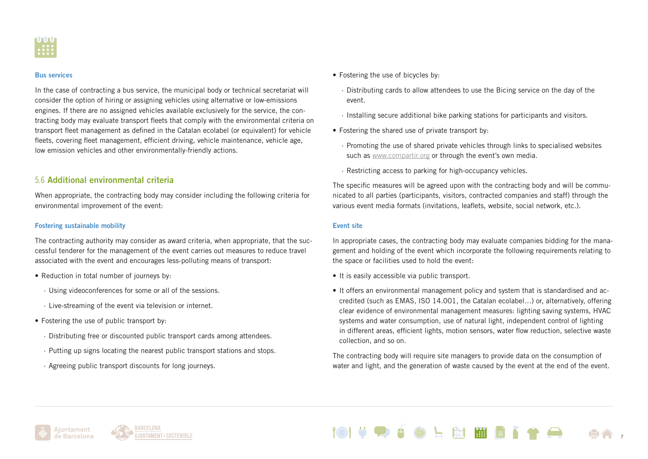

#### Bus services

In the case of contracting a bus service, the municipal body or technical secretariat will consider the option of hiring or assigning vehicles using alternative or low-emissions engines. If there are no assigned vehicles available exclusively for the service, the contracting body may evaluate transport fleets that comply with the environmental criteria on transport fleet management as defined in the Catalan ecolabel (or equivalent) for vehicle fleets, covering fleet management, efficient driving, vehicle maintenance, vehicle age, low emission vehicles and other environmentally-friendly actions.

#### 5.6 Additional environmental criteria

When appropriate, the contracting body may consider including the following criteria for environmental improvement of the event:

#### Fostering sustainable mobility

The contracting authority may consider as award criteria, when appropriate, that the successful tenderer for the management of the event carries out measures to reduce travel associated with the event and encourages less-polluting means of transport:

- Reduction in total number of journeys by:
	- · Using videoconferences for some or all of the sessions.
	- · Live-streaming of the event via television or internet.
- Fostering the use of public transport by:
	- · Distributing free or discounted public transport cards among attendees.
	- · Putting up signs locating the nearest public transport stations and stops.
	- · Agreeing public transport discounts for long journeys.
- Fostering the use of bicycles by:
	- · Distributing cards to allow attendees to use the Bicing service on the day of the event.
	- · Installing secure additional bike parking stations for participants and visitors.
- Fostering the shared use of private transport by:
	- · Promoting the use of shared private vehicles through links to specialised websites such as [www.compartir.org](http://www.compartir.org) or through the event's own media.
	- · Restricting access to parking for high-occupancy vehicles.

The specific measures will be agreed upon with the contracting body and will be communicated to all parties (participants, visitors, contracted companies and staff) through the various event media formats (invitations, leaflets, website, social network, etc.).

#### Event site

In appropriate cases, the contracting body may evaluate companies bidding for the management and holding of the event which incorporate the following requirements relating to the space or facilities used to hold the event:

- It is easily accessible via public transport.
- It offers an environmental management policy and system that is standardised and accredited (such as EMAS, ISO 14.001, the Catalan ecolabel…) or, alternatively, offering clear evidence of environmental management measures: lighting saving systems, HVAC systems and water consumption, use of natural light, independent control of lighting in different areas, efficient lights, motion sensors, water flow reduction, selective waste collection, and so on.

The contracting body will require site managers to provide data on the consumption of water and light, and the generation of waste caused by the event at the end of the event.

N WEN

7



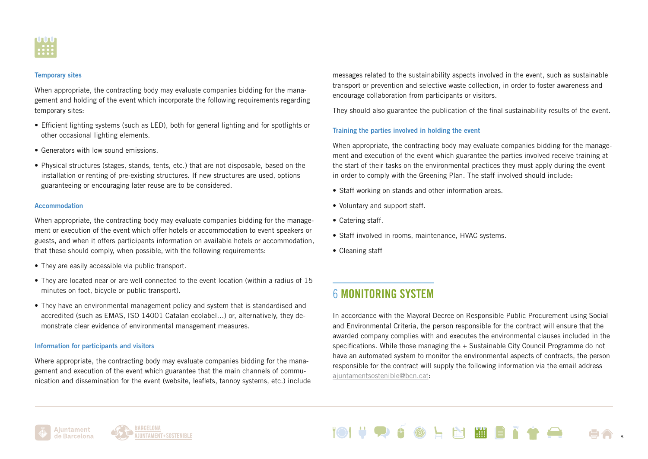

#### Temporary sites

When appropriate, the contracting body may evaluate companies bidding for the management and holding of the event which incorporate the following requirements regarding temporary sites:

- Efficient lighting systems (such as LED), both for general lighting and for spotlights or other occasional lighting elements.
- Generators with low sound emissions.
- Physical structures (stages, stands, tents, etc.) that are not disposable, based on the installation or renting of pre-existing structures. If new structures are used, options guaranteeing or encouraging later reuse are to be considered.

#### Accommodation

When appropriate, the contracting body may evaluate companies bidding for the management or execution of the event which offer hotels or accommodation to event speakers or guests, and when it offers participants information on available hotels or accommodation, that these should comply, when possible, with the following requirements:

- They are easily accessible via public transport.
- They are located near or are well connected to the event location (within a radius of 15 minutes on foot, bicycle or public transport).
- They have an environmental management policy and system that is standardised and accredited (such as EMAS, ISO 14001 Catalan ecolabel…) or, alternatively, they demonstrate clear evidence of environmental management measures.

#### Information for participants and visitors

Where appropriate, the contracting body may evaluate companies bidding for the management and execution of the event which guarantee that the main channels of communication and dissemination for the event (website, leaflets, tannoy systems, etc.) include messages related to the sustainability aspects involved in the event, such as sustainable transport or prevention and selective waste collection, in order to foster awareness and encourage collaboration from participants or visitors.

They should also guarantee the publication of the final sustainability results of the event.

#### Training the parties involved in holding the event

When appropriate, the contracting body may evaluate companies bidding for the management and execution of the event which guarantee the parties involved receive training at the start of their tasks on the environmental practices they must apply during the event in order to comply with the Greening Plan. The staff involved should include:

- Staff working on stands and other information areas.
- Voluntary and support staff.
- Catering staff.
- Staff involved in rooms, maintenance, HVAC systems.
- Cleaning staff

### 6 MONITORING SYSTEM

In accordance with the Mayoral Decree on Responsible Public Procurement using Social and Environmental Criteria, the person responsible for the contract will ensure that the awarded company complies with and executes the environmental clauses included in the specifications. While those managing the + Sustainable City Council Programme do not have an automated system to monitor the environmental aspects of contracts, the person responsible for the contract will supply the following information via the email address [ajuntamentsostenible@bcn.cat:](mailto:?subject=)





NHET 8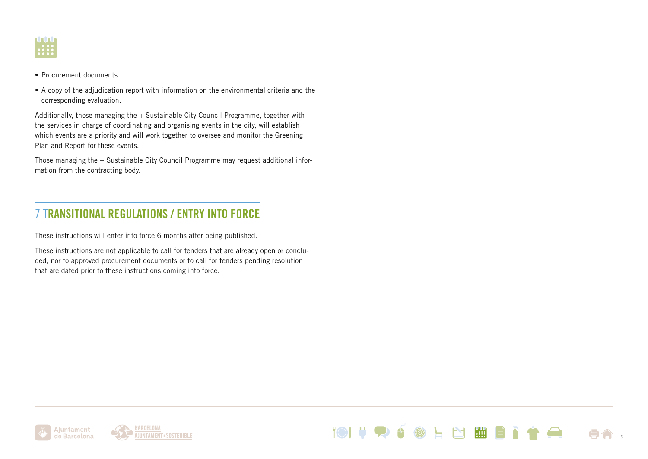

- Procurement documents
- A copy of the adjudication report with information on the environmental criteria and the corresponding evaluation.

Additionally, those managing the + Sustainable City Council Programme, together with the services in charge of coordinating and organising events in the city, will establish which events are a priority and will work together to oversee and monitor the Greening Plan and Report for these events.

Those managing the + Sustainable City Council Programme may request additional information from the contracting body.

### 7 TRANSITIONAL REGULATIONS / ENTRY INTO FORCE

These instructions will enter into force 6 months after being published.

These instructions are not applicable to call for tenders that are already open or concluded, nor to approved procurement documents or to call for tenders pending resolution that are dated prior to these instructions coming into force.





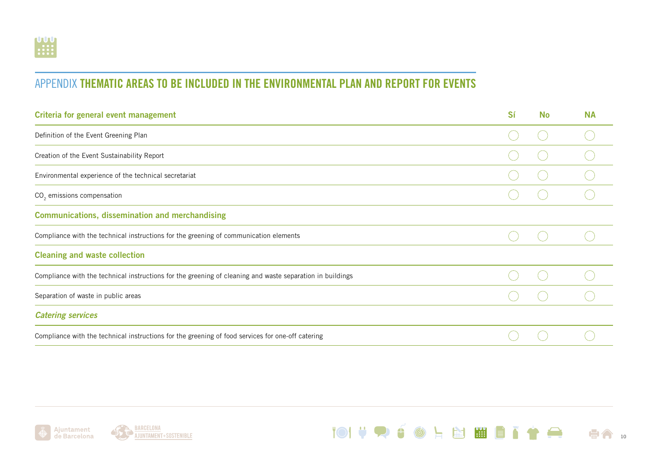### APPENDIX THEMATIC AREAS TO BE INCLUDED IN THE ENVIRONMENTAL PLAN AND REPORT FOR EVENTS

| Criteria for general event management                                                                     | Sí | <b>No</b> | <b>NA</b> |
|-----------------------------------------------------------------------------------------------------------|----|-----------|-----------|
| Definition of the Event Greening Plan                                                                     |    |           |           |
| Creation of the Event Sustainability Report                                                               |    |           |           |
| Environmental experience of the technical secretariat                                                     |    |           |           |
| CO <sub>2</sub> emissions compensation                                                                    |    |           |           |
| <b>Communications, dissemination and merchandising</b>                                                    |    |           |           |
| Compliance with the technical instructions for the greening of communication elements                     |    |           |           |
| <b>Cleaning and waste collection</b>                                                                      |    |           |           |
| Compliance with the technical instructions for the greening of cleaning and waste separation in buildings |    |           |           |
| Separation of waste in public areas                                                                       |    |           |           |
| <b>Catering services</b>                                                                                  |    |           |           |
| Compliance with the technical instructions for the greening of food services for one-off catering         |    |           |           |